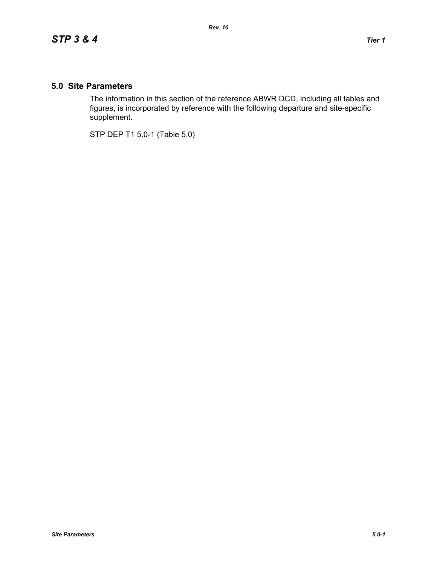## **5.0 Site Parameters**

The information in this section of the reference ABWR DCD, including all tables and figures, is incorporated by reference with the following departure and site-specific supplement.

STP DEP T1 5.0-1 (Table 5.0)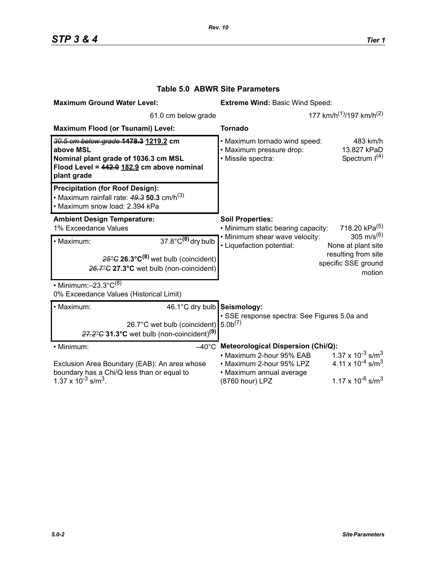| <b>Maximum Ground Water Level:</b>                                                                                                                              | <b>Extreme Wind: Basic Wind Speed:</b>                                                                                                                                                                                                                                             |
|-----------------------------------------------------------------------------------------------------------------------------------------------------------------|------------------------------------------------------------------------------------------------------------------------------------------------------------------------------------------------------------------------------------------------------------------------------------|
| 61.0 cm below grade                                                                                                                                             | 177 km/h <sup>(1)</sup> /197 km/h <sup>(2)</sup>                                                                                                                                                                                                                                   |
| Maximum Flood (or Tsunami) Level:                                                                                                                               | <b>Tornado</b>                                                                                                                                                                                                                                                                     |
| 30.5 cm below grade 1478.3 1219.2 cm<br>above MSL<br>Nominal plant grade of 1036.3 cm MSL<br>Flood Level = 442.0 182.9 cm above nominal<br>plant grade          | . Maximum tornado wind speed:<br>483 km/h<br>· Maximum pressure drop:<br>13.827 kPaD<br>Spectrum $I(4)$<br>· Missile spectra:                                                                                                                                                      |
| <b>Precipitation (for Roof Design):</b><br>• Maximum rainfall rate: $49.3$ 50.3 cm/h <sup>(3)</sup><br>· Maximum snow load: 2.394 kPa                           |                                                                                                                                                                                                                                                                                    |
| <b>Ambient Design Temperature:</b><br>1% Exceedance Values                                                                                                      | <b>Soil Properties:</b><br>718.20 kPa <sup>(5)</sup><br>• Minimum static bearing capacity:                                                                                                                                                                                         |
| $37.8^{\circ}$ C <sup>(8)</sup> dry bulb<br>· Maximum:<br>$25^{\circ}$ G 26.3°C <sup>(8)</sup> wet bulb (coincident)<br>26.7°C 27.3°C wet bulb (non-coincident) | 305 m/s <sup>(6)</sup><br>. Minimum shear wave velocity:<br>• Liquefaction potential:<br>None at plant site<br>resulting from site<br>specific SSE ground<br>motion                                                                                                                |
| • Minimum: $-23.3^{\circ}C^{(8)}$<br>0% Exceedance Values (Historical Limit)                                                                                    |                                                                                                                                                                                                                                                                                    |
| 46.1°C dry bulb Seismology:<br>· Maximum:<br>26.7°C wet bulb (coincident)<br>$27.2^{\circ}$ G 31.3°C wet bulb (non-coincident) <sup>(9)</sup>                   | · SSE response spectra: See Figures 5.0a and<br>5.0 <sup>(7)</sup>                                                                                                                                                                                                                 |
| • Minimum:<br>Exclusion Area Boundary (EAB): An area whose<br>boundary has a Chi/Q less than or equal to<br>$1.37 \times 10^{-3}$ s/m <sup>3</sup> .            | $-40^{\circ}$ C Meteorological Dispersion (Chi/Q):<br>$1.37 \times 10^{-3}$ s/m <sup>3</sup><br>• Maximum 2-hour 95% EAB<br>4.11 x $10^{-4}$ s/m <sup>3</sup><br>• Maximum 2-hour 95% LPZ<br>• Maximum annual average<br>$1.17 \times 10^{-6}$ s/m <sup>3</sup><br>(8760 hour) LPZ |

## **Table 5.0 ABWR Site Parameters**